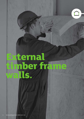# **External timber frame walls.**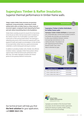## **Superglass Timber & Rafter Insulation.** Superior thermal performance in timber frame walls.

**Today's modern timber frame structures are precisionengineered, strong and durable, comprising of a build method which relies on timber frame as a basic means of structural support; carrying the loads imposed by the floors and roofs, before transmitting them to the foundations.**

Timber frame currently accounts for around 25% of new homes in the UK and over 80% of all new homes built in Scotland use this method. Around 75% of self-builders use timber frame construction as their primary build method. This build type is utilised by every sector of the construction industry and is very popular for hotels and student accommodation. As with all forms of structural timber, timber frame has superb environmental credentials, as well as being quick and easy to construct.

In addition to providing installers with a flexible, time efficient insulation solution, Superglass timber frame products deliver superior levels of thermal and acoustic performance time after time. This makes Superglass insulation the natural partner for this growing method of construction.

#### **Thermal Insulation**

#### **Superglass Timber & Rafter Rolls/Batts for timber frame walls**

**Superglass Timber & Rafter Roll/Batts** are lightweight, non-combustible glass mineral wool insulation products. The flexible rolls and batts are manufactured to allow easy installation between common stud spacings and minimum on-site cutting and waste. The products are self-supporting by friction fitting supergla between timber studs, which **NEW** helps to eliminate air gaps. Timber & Rafte



| <b>Superglass Products</b>      | <b>Thermal conductivity</b> |
|---------------------------------|-----------------------------|
| Timber & Rafter Roll or Batt 32 | $0.032$ W/mK                |
| Timber & Rafter Roll or Batt 35 | $0.035$ W/mK                |
| Timber & Rafter Roll or Batt 40 | $0.040$ W/mK                |

Our technical team will help you find **the best solution** for your application, call **0808 1645 134**.



Superglass are members of the Structural Timber Association, the UK's foremost timber organisation, leading the industry on quality, health & safety, education and technical knowledge.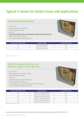# **Typical U-Values for timber frame wall applications.**

### **Standard Breather Membrane**

- 102.5mm brick
- 50mm unvented cavity (0.18m²K/W)
- Standard breather membrane
- 9mm OSB
- **Timber studs (600mm centres) with Superglass Timber & Rafter Roll or Batt**
- Standard vapour control layer (VCL)
- 12.5mm standard plasterboard (0.19W/mK)



| Insulation and stud thickness (mm) | <b>Superglass insulation</b>    | U-Value Achieved (W/m <sup>2</sup> K) |
|------------------------------------|---------------------------------|---------------------------------------|
| 140                                | Timber & Rafter Roll or Batt 32 | 0.27                                  |
| 140                                | Timber & Rafter Roll or Batt 35 | 0.28                                  |
| 140                                | Timber & Rafter Roll or Batt 40 | 0.30                                  |

Bridging Factor for timber studs 15%.

## **Reflective Breather Membrane and Reflective Vapour Control Layer (VCL)**

- 102.5mm Brick
- 50mm Unvented low-e cavity (0.77m²K/W)
- Reflective Breather Membrane
- 9mm OSB
- Superglass Insulation between timber studs
- Reflective Vapour Control Layer (VCL)
- 25mm Unvented low-e cavity between timber battens (0.78m²K/W)
- 12.5mm Standard Plasterboard (0.19W/mK)



| Insulation and stud thickness (mm) | <b>Superglass insulation</b>               | U-Value Achieved (W/m <sup>2</sup> K) |
|------------------------------------|--------------------------------------------|---------------------------------------|
| 140                                | Superglass Timber & Rafter Roll or Batt 32 | 0.19                                  |
| 140                                | Superglass Timber & Rafter Roll or Batt 35 | 0.20                                  |
| 140                                | Superglass Timber & Rafter Roll or Batt 40 | 0.21                                  |
| 90                                 | Superglass Timber & Rafter Roll or Batt 32 | 0.25                                  |
| 90                                 | Superglass Timber & Rafter Roll or Batt 35 | 0.26                                  |
| 90                                 | Superglass Timber & Rafter Roll or Batt 40 | 0.27                                  |

Bridging Factor for timber studs 15%

For any U-value calculations for alternative construction build-ups and written calculations, please email Technical-uk@tn-i.com